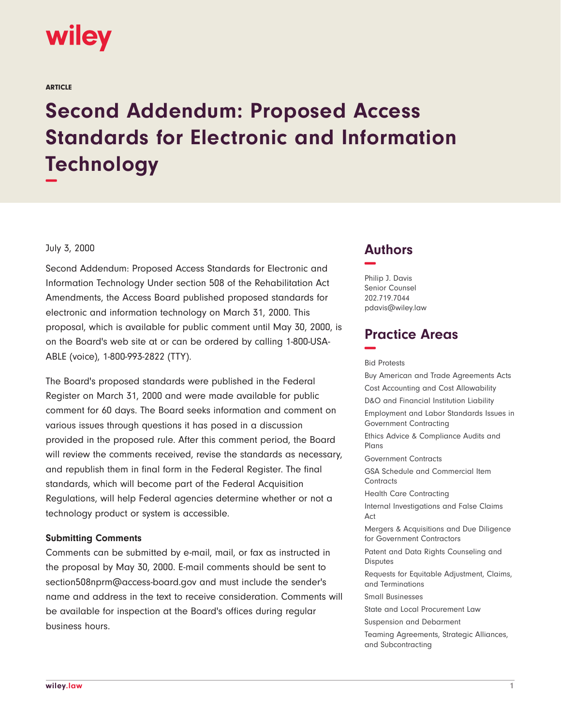

ARTICLE

# **Second Addendum: Proposed Access Standards for Electronic and Information Technology −**

#### July 3, 2000

Second Addendum: Proposed Access Standards for Electronic and Information Technology Under section 508 of the Rehabilitation Act Amendments, the Access Board published proposed standards for electronic and information technology on March 31, 2000. This proposal, which is available for public comment until May 30, 2000, is on the Board's web site at or can be ordered by calling 1-800-USA-ABLE (voice), 1-800-993-2822 (TTY).

The Board's proposed standards were published in the Federal Register on March 31, 2000 and were made available for public comment for 60 days. The Board seeks information and comment on various issues through questions it has posed in a discussion provided in the proposed rule. After this comment period, the Board will review the comments received, revise the standards as necessary, and republish them in final form in the Federal Register. The final standards, which will become part of the Federal Acquisition Regulations, will help Federal agencies determine whether or not a technology product or system is accessible.

#### **Submitting Comments**

Comments can be submitted by e-mail, mail, or fax as instructed in the proposal by May 30, 2000. E-mail comments should be sent to section508nprm@access-board.gov and must include the sender's name and address in the text to receive consideration. Comments will be available for inspection at the Board's offices during regular business hours.

# **Authors −**

Philip J. Davis Senior Counsel 202.719.7044 pdavis@wiley.law

# **Practice Areas −**

Bid Protests

Buy American and Trade Agreements Acts Cost Accounting and Cost Allowability D&O and Financial Institution Liability Employment and Labor Standards Issues in Government Contracting Ethics Advice & Compliance Audits and Plans Government Contracts GSA Schedule and Commercial Item **Contracts** Health Care Contracting Internal Investigations and False Claims Act Mergers & Acquisitions and Due Diligence for Government Contractors Patent and Data Rights Counseling and **Disputes** Requests for Equitable Adjustment, Claims, and Terminations Small Businesses State and Local Procurement Law Suspension and Debarment Teaming Agreements, Strategic Alliances, and Subcontracting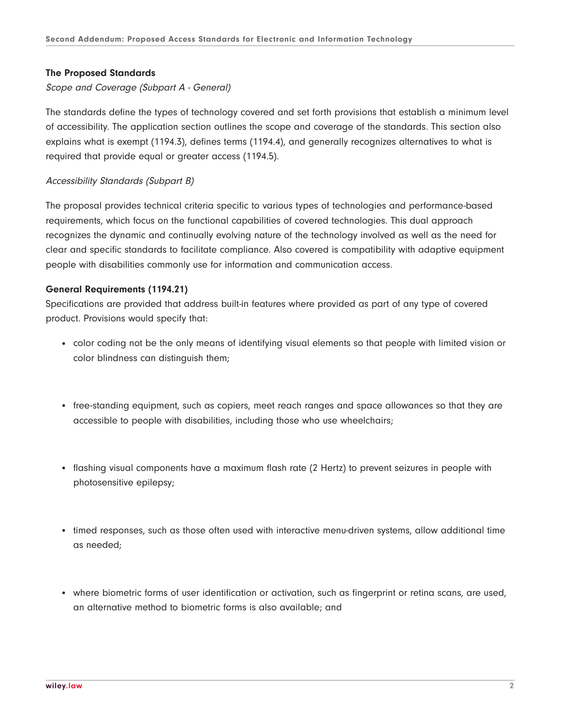# **The Proposed Standards**

Scope and Coverage (Subpart A - General)

The standards define the types of technology covered and set forth provisions that establish a minimum level of accessibility. The application section outlines the scope and coverage of the standards. This section also explains what is exempt (1194.3), defines terms (1194.4), and generally recognizes alternatives to what is required that provide equal or greater access (1194.5).

# Accessibility Standards (Subpart B)

The proposal provides technical criteria specific to various types of technologies and performance-based requirements, which focus on the functional capabilities of covered technologies. This dual approach recognizes the dynamic and continually evolving nature of the technology involved as well as the need for clear and specific standards to facilitate compliance. Also covered is compatibility with adaptive equipment people with disabilities commonly use for information and communication access.

## **General Requirements (1194.21)**

Specifications are provided that address built-in features where provided as part of any type of covered product. Provisions would specify that:

- color coding not be the only means of identifying visual elements so that people with limited vision or color blindness can distinguish them;
- free-standing equipment, such as copiers, meet reach ranges and space allowances so that they are accessible to people with disabilities, including those who use wheelchairs;
- flashing visual components have a maximum flash rate (2 Hertz) to prevent seizures in people with photosensitive epilepsy;
- timed responses, such as those often used with interactive menu-driven systems, allow additional time as needed;
- where biometric forms of user identification or activation, such as fingerprint or retina scans, are used, an alternative method to biometric forms is also available; and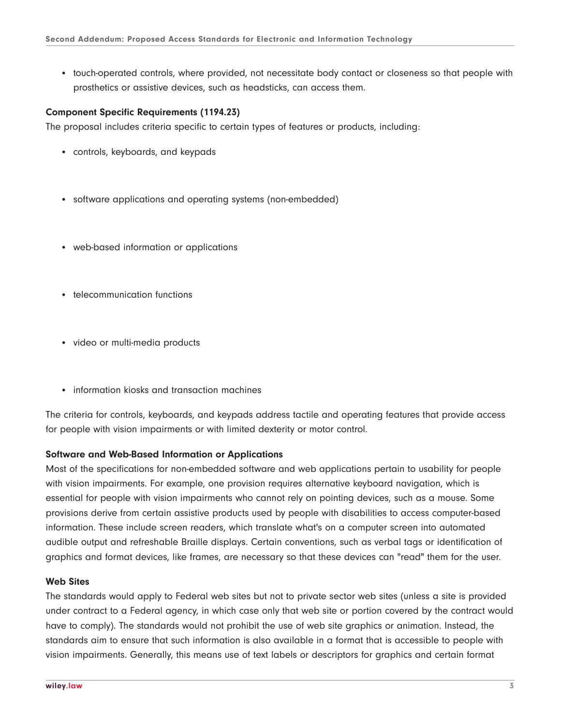● touch-operated controls, where provided, not necessitate body contact or closeness so that people with prosthetics or assistive devices, such as headsticks, can access them.

#### **Component Specific Requirements (1194.23)**

The proposal includes criteria specific to certain types of features or products, including:

- controls, keyboards, and keypads
- software applications and operating systems (non-embedded)
- web-based information or applications
- telecommunication functions
- video or multi-media products
- information kiosks and transaction machines

The criteria for controls, keyboards, and keypads address tactile and operating features that provide access for people with vision impairments or with limited dexterity or motor control.

#### **Software and Web-Based Information or Applications**

Most of the specifications for non-embedded software and web applications pertain to usability for people with vision impairments. For example, one provision requires alternative keyboard navigation, which is essential for people with vision impairments who cannot rely on pointing devices, such as a mouse. Some provisions derive from certain assistive products used by people with disabilities to access computer-based information. These include screen readers, which translate what's on a computer screen into automated audible output and refreshable Braille displays. Certain conventions, such as verbal tags or identification of graphics and format devices, like frames, are necessary so that these devices can "read" them for the user.

#### **Web Sites**

The standards would apply to Federal web sites but not to private sector web sites (unless a site is provided under contract to a Federal agency, in which case only that web site or portion covered by the contract would have to comply). The standards would not prohibit the use of web site graphics or animation. Instead, the standards aim to ensure that such information is also available in a format that is accessible to people with vision impairments. Generally, this means use of text labels or descriptors for graphics and certain format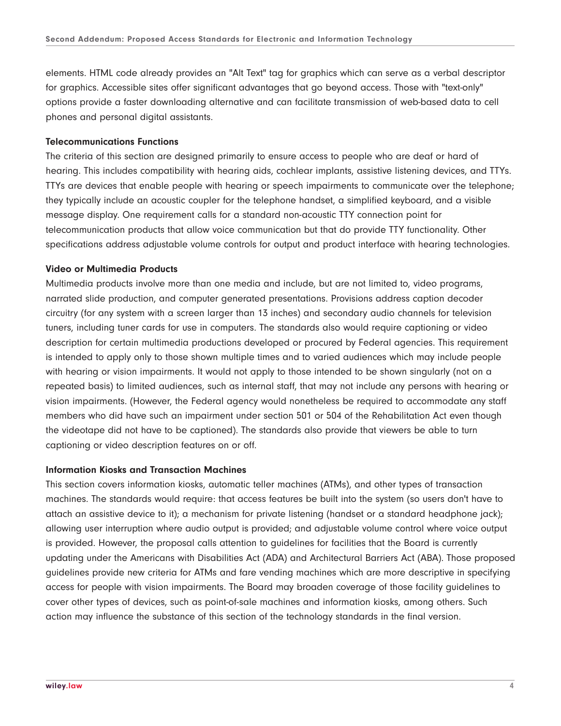elements. HTML code already provides an "Alt Text" tag for graphics which can serve as a verbal descriptor for graphics. Accessible sites offer significant advantages that go beyond access. Those with "text-only" options provide a faster downloading alternative and can facilitate transmission of web-based data to cell phones and personal digital assistants.

#### **Telecommunications Functions**

The criteria of this section are designed primarily to ensure access to people who are deaf or hard of hearing. This includes compatibility with hearing aids, cochlear implants, assistive listening devices, and TTYs. TTYs are devices that enable people with hearing or speech impairments to communicate over the telephone; they typically include an acoustic coupler for the telephone handset, a simplified keyboard, and a visible message display. One requirement calls for a standard non-acoustic TTY connection point for telecommunication products that allow voice communication but that do provide TTY functionality. Other specifications address adjustable volume controls for output and product interface with hearing technologies.

# **Video or Multimedia Products**

Multimedia products involve more than one media and include, but are not limited to, video programs, narrated slide production, and computer generated presentations. Provisions address caption decoder circuitry (for any system with a screen larger than 13 inches) and secondary audio channels for television tuners, including tuner cards for use in computers. The standards also would require captioning or video description for certain multimedia productions developed or procured by Federal agencies. This requirement is intended to apply only to those shown multiple times and to varied audiences which may include people with hearing or vision impairments. It would not apply to those intended to be shown singularly (not on a repeated basis) to limited audiences, such as internal staff, that may not include any persons with hearing or vision impairments. (However, the Federal agency would nonetheless be required to accommodate any staff members who did have such an impairment under section 501 or 504 of the Rehabilitation Act even though the videotape did not have to be captioned). The standards also provide that viewers be able to turn captioning or video description features on or off.

#### **Information Kiosks and Transaction Machines**

This section covers information kiosks, automatic teller machines (ATMs), and other types of transaction machines. The standards would require: that access features be built into the system (so users don't have to attach an assistive device to it); a mechanism for private listening (handset or a standard headphone jack); allowing user interruption where audio output is provided; and adjustable volume control where voice output is provided. However, the proposal calls attention to guidelines for facilities that the Board is currently updating under the Americans with Disabilities Act (ADA) and Architectural Barriers Act (ABA). Those proposed guidelines provide new criteria for ATMs and fare vending machines which are more descriptive in specifying access for people with vision impairments. The Board may broaden coverage of those facility guidelines to cover other types of devices, such as point-of-sale machines and information kiosks, among others. Such action may influence the substance of this section of the technology standards in the final version.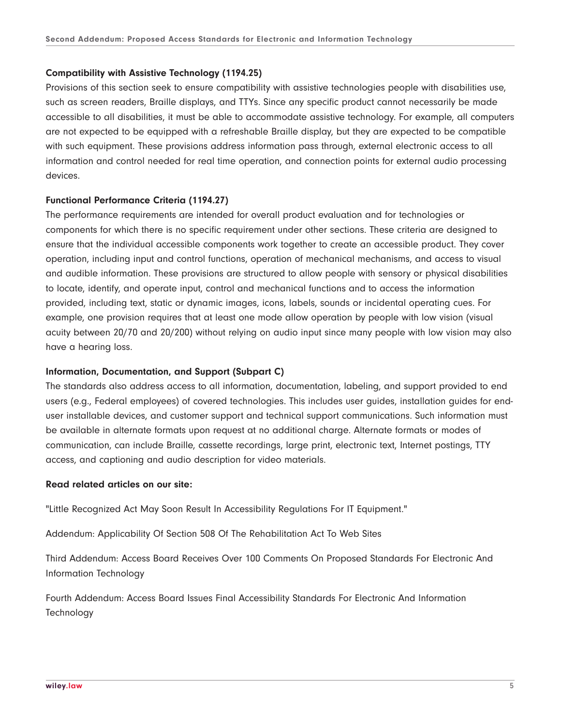# **Compatibility with Assistive Technology (1194.25)**

Provisions of this section seek to ensure compatibility with assistive technologies people with disabilities use, such as screen readers, Braille displays, and TTYs. Since any specific product cannot necessarily be made accessible to all disabilities, it must be able to accommodate assistive technology. For example, all computers are not expected to be equipped with a refreshable Braille display, but they are expected to be compatible with such equipment. These provisions address information pass through, external electronic access to all information and control needed for real time operation, and connection points for external audio processing devices.

## **Functional Performance Criteria (1194.27)**

The performance requirements are intended for overall product evaluation and for technologies or components for which there is no specific requirement under other sections. These criteria are designed to ensure that the individual accessible components work together to create an accessible product. They cover operation, including input and control functions, operation of mechanical mechanisms, and access to visual and audible information. These provisions are structured to allow people with sensory or physical disabilities to locate, identify, and operate input, control and mechanical functions and to access the information provided, including text, static or dynamic images, icons, labels, sounds or incidental operating cues. For example, one provision requires that at least one mode allow operation by people with low vision (visual acuity between 20/70 and 20/200) without relying on audio input since many people with low vision may also have a hearing loss.

#### **Information, Documentation, and Support (Subpart C)**

The standards also address access to all information, documentation, labeling, and support provided to end users (e.g., Federal employees) of covered technologies. This includes user guides, installation guides for enduser installable devices, and customer support and technical support communications. Such information must be available in alternate formats upon request at no additional charge. Alternate formats or modes of communication, can include Braille, cassette recordings, large print, electronic text, Internet postings, TTY access, and captioning and audio description for video materials.

#### **Read related articles on our site:**

"Little Recognized Act May Soon Result In Accessibility Regulations For IT Equipment."

Addendum: Applicability Of Section 508 Of The Rehabilitation Act To Web Sites

Third Addendum: Access Board Receives Over 100 Comments On Proposed Standards For Electronic And Information Technology

Fourth Addendum: Access Board Issues Final Accessibility Standards For Electronic And Information **Technology**